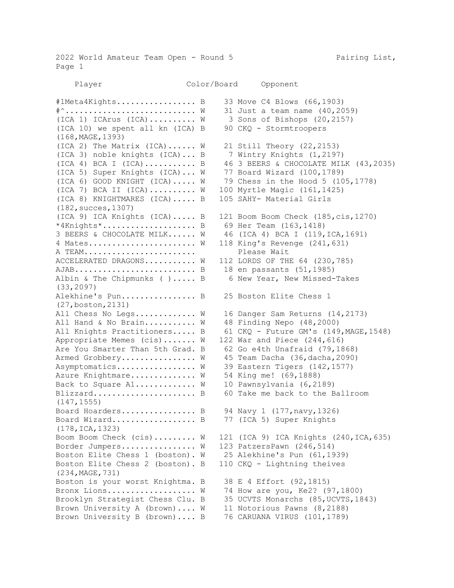2022 World Amateur Team Open - Round 5 Pairing List, Page 1

Player Color/Board Opponent

#1Meta4Kights................. B 33 Move C4 Blows (66,1903) #^............................ W 31 Just a team name (40,2059) (ICA 1) ICArus (ICA).......... W 3 Sons of Bishops (20,2157) (ICA 10) we spent all kn (ICA) B 90 CKQ - Stormtroopers (168,MAGE,1393) (ICA 2) The Matrix (ICA)......  $W = 21$  Still Theory (22,2153) (ICA 3) noble knights (ICA)... B 7 Wintry Knights (1,2197) (ICA 4) BCA I (ICA)........... B 46 3 BEERS & CHOCOLATE MILK (43,2035) (ICA 5) Super Knights (ICA)... W 77 Board Wizard (100,1789) (ICA 6) GOOD KNIGHT (ICA)..... W 79 Chess in the Hood 5 (105,1778) (ICA 7) BCA II (ICA).......... W 100 Myrtle Magic (161,1425) (ICA 8) KNIGHTMARES (ICA)..... B 105 SAHY- Material Girls (182,succes,1307) (ICA 9) ICA Knights (ICA)..... B 121 Boom Boom Check (185,cis,1270) \*4Knights\*.................... B 69 Her Team (163,1418) 3 BEERS & CHOCOLATE MILK...... W 46 (ICA 4) BCA I (119,ICA,1691) 4 Mates....................... W 118 King's Revenge (241,631) A TEAM........................ Please Wait ACCELERATED DRAGONS.......... W 112 LORDS OF THE 64 (230,785) AJAB.......................... B 18 en passants (51,1985) Albin & The Chipmunks ( )..... B 6 New Year, New Missed-Takes (33,2097) Alekhine's Pun................ B 25 Boston Elite Chess 1 (27,boston,2131) All Chess No Legs............ W 16 Danger Sam Returns (14,2173) All Hand & No Brain........... W 48 Finding Nepo (48,2000) All Knights Practitioners..... B 61 CKQ - Future GM's (149, MAGE, 1548) Appropriate Memes (cis)....... W 122 War and Piece (244,616) Are You Smarter Than 5th Grad. B 62 Go e4th Unafraid (79,1868) Armed Grobbery................ W 45 Team Dacha (36, dacha, 2090) Asymptomatics................ W 39 Eastern Tigers (142,1577) Azure Knightmare............. W 54 King me! (69,1888) Back to Square A1............. W 10 Pawnsylvania (6,2189) Blizzard........................... B 60 Take me back to the Ballroom (147,1555) Board Hoarders................ B 94 Navy 1 (177, navy, 1326) Board Wizard................... B 77 (ICA 5) Super Knights (178,ICA,1323) Boom Boom Check  $(cis)$ ........ W 121 (ICA 9) ICA Knights (240,ICA,635) Border Jumpers................ W 123 PatzersPawn (246,514) Boston Elite Chess 1 (boston). W 25 Alekhine's Pun (61,1939) Boston Elite Chess 2 (boston). B 110 CKQ - Lightning theives (234,MAGE,731) Boston is your worst Knightma. B 38 E 4 Effort (92,1815) Bronx Lions................... W 74 How are you, Ke2? (97,1800) Brooklyn Strategist Chess Clu. B 35 UCVTS Monarchs (85,UCVTS,1843) Brown University A (brown).... W 11 Notorious Pawns (8,2188) Brown University B (brown).... B 76 CARUANA VIRUS (101,1789)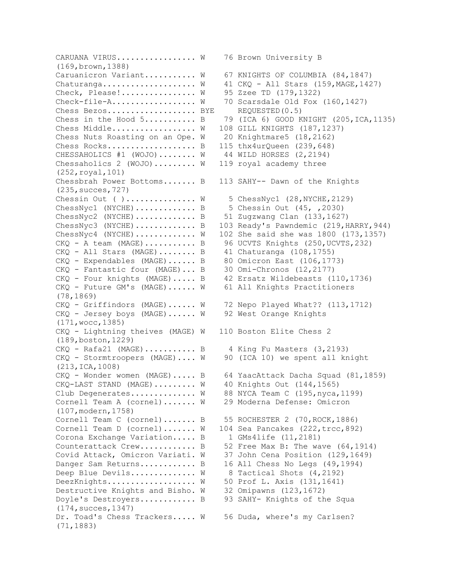CARUANA VIRUS................ W 76 Brown University B (169,brown,1388) Caruanicron Variant.......... W 67 KNIGHTS OF COLUMBIA (84,1847) Chaturanga....................  $W$  41 CKQ - All Stars (159, MAGE, 1427) Check, Please!................ W 95 Zzee TD (179,1322) Check-file-A.................. W 70 Scarsdale Old Fox (160,1427) Chess Bezos..................... BYE REQUESTED(0.5) Chess in the Hood  $5 \ldots \ldots \ldots$ . B 79 (ICA 6) GOOD KNIGHT (205, ICA, 1135) Chess Middle.................. W 108 GILL KNIGHTS (187,1237) Chess Nuts Roasting on an Ope. W 20 Knightmare5 (18,2162) Chess Rocks..................... B 115 thx4urQueen (239,648) CHESSAHOLICS #1 (WOJO)........ W 44 WILD HORSES (2,2194) Chessaholics 2 (WOJO)........ W 119 royal academy three (252,royal,101) Chessbrah Power Bottoms....... B 113 SAHY-- Dawn of the Knights (235,succes,727) Chessin Out ( )...............  $W = 5$  ChessNyc1 (28, NYCHE, 2129) ChessNyc1 (NYCHE)............... B 5 Chessin Out (45, ,2030) ChessNyc2 (NYCHE)............. B 51 Zugzwang Clan (133,1627) ChessNyc3 (NYCHE)............. B 103 Ready's Pawndemic (219, HARRY, 944) ChessNyc4 (NYCHE)............. W 102 She said she was 1800 (173,1357) CKQ - A team (MAGE)........... B 96 UCVTS Knights (250, UCVTS, 232) CKQ - All Stars (MAGE)........ B 41 Chaturanga (108,1755) CKQ - Expendables (MAGE)...... B 80 Omicron East (106,1773) CKQ - Fantastic four (MAGE)... B 30 Omi-Chronos (12,2177) CKQ - Four knights (MAGE)..... B 42 Ersatz Wildebeasts (110,1736) CKQ - Future GM's (MAGE)...... W 61 All Knights Practitioners (78,1869) CKQ - Griffindors (MAGE)...... W 72 Nepo Played What?? (113,1712) CKQ - Jersey boys (MAGE)...... W 92 West Orange Knights (171,wocc,1385) CKQ - Lightning theives (MAGE) W 110 Boston Elite Chess 2 (189,boston,1229) CKQ - Rafa21 (MAGE)........... B 4 King Fu Masters (3,2193) CKQ - Stormtroopers (MAGE).... W 90 (ICA 10) we spent all knight (213,ICA,1008) CKQ - Wonder women (MAGE)..... B 64 YaacAttack Dacha Squad (81,1859) CKQ-LAST STAND (MAGE)......... W 40 Knights Out (144,1565) Club Degenerates............ W 88 NYCA Team C (195, nyca, 1199) Cornell Team A (cornel)....... W 29 Moderna Defense: Omicron (107,modern,1758) Cornell Team C (cornel)....... B 55 ROCHESTER 2 (70, ROCK, 1886) Cornell Team D (cornel)....... W 104 Sea Pancakes (222,trcc,892) Corona Exchange Variation..... B 1 GMs4life (11,2181) Counterattack Crew............. B 52 Free Max B: The wave (64,1914) Covid Attack, Omicron Variati. W 37 John Cena Position (129,1649) Danger Sam Returns............ B 16 All Chess No Legs (49,1994) Deep Blue Devils............. W 8 Tactical Shots (4,2192) DeezKnights................... W 50 Prof L. Axis (131,1641) Destructive Knights and Bisho. W 32 Omipawns (123,1672) Doyle's Destroyers............ B 93 SAHY- Knights of the Squa (174,succes,1347) Dr. Toad's Chess Trackers..... W 56 Duda, where's my Carlsen? (71,1883)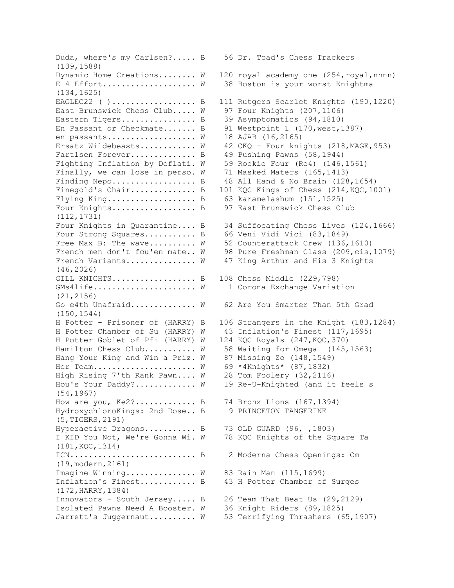Duda, where's my Carlsen?..... B 56 Dr. Toad's Chess Trackers (139,1588) Dynamic Home Creations........ W 120 royal academy one (254,royal,nnnn) E 4 Effort................... W 38 Boston is your worst Knightma (134,1625) EAGLEC22 ( )................... B 111 Rutgers Scarlet Knights (190,1220) East Brunswick Chess Club..... W 97 Four Knights (207,1106) Eastern Tigers................. B 39 Asymptomatics (94,1810) En Passant or Checkmate....... B 91 Westpoint 1 (170, west, 1387) en passants.................. W 18 AJAB (16,2165) Ersatz Wildebeasts........... W 42 CKQ - Four knights (218, MAGE, 953) Fartlsen Forever.............. B 49 Pushing Pawns (58,1944) Fighting Inflation by Deflati. W 59 Rookie Four (Re4) (146,1561) Finally, we can lose in perso. W 71 Masked Maters (165,1413) Finding Nepo.................. B 48 All Hand & No Brain (128,1654) Finegold's Chair................ B 101 KQC Kings of Chess (214, KQC, 1001) Flying King.................... B 63 karamelashum (151,1525) Four Knights.................... B 97 East Brunswick Chess Club (112,1731) Four Knights in Quarantine.... B 34 Suffocating Chess Lives (124,1666) Four Strong Squares........... B 66 Veni Vidi Vici (83,1849) Free Max B: The wave......... W 52 Counterattack Crew (136,1610) French men don't fou'en mate.. W 98 Pure Freshman Class (209,cis,1079) French Variants.............. W 47 King Arthur and His 3 Knights (46,2026) GILL KNIGHTS.................. B 108 Chess Middle (229,798) GMs4life...................... W 1 Corona Exchange Variation (21,2156) Go e4th Unafraid............. W 62 Are You Smarter Than 5th Grad (150,1544) H Potter - Prisoner of (HARRY) B 106 Strangers in the Knight (183,1284) H Potter Chamber of Su (HARRY) W 43 Inflation's Finest (117,1695) H Potter Goblet of Pfi (HARRY) W 124 KQC Royals (247,KQC,370) Hamilton Chess Club.......... W 58 Waiting for Omega (145,1563) Hang Your King and Win a Priz. W 87 Missing Zo (148,1549) Her Team..................... W 69 \*4Knights\* (87,1832) High Rising 7'th Rank Pawn.... W 28 Tom Foolery (32,2116) Hou's Your Daddy?............ W 19 Re-U-Knighted (and it feels s (54,1967) How are you, Ke2?.............. B 74 Bronx Lions (167,1394) HydroxychloroKings: 2nd Dose.. B 9 PRINCETON TANGERINE (5,TIGERS,2191) Hyperactive Dragons........... B 73 OLD GUARD (96, ,1803) I KID You Not, We're Gonna Wi. W 78 KQC Knights of the Square Ta (181,KQC,1314) ICN........................... B 2 Moderna Chess Openings: Om (19,modern,2161) Imagine Winning.............. W 83 Rain Man (115,1699) Inflation's Finest............ B 43 H Potter Chamber of Surges (172,HARRY,1384) Innovators - South Jersey..... B 26 Team That Beat Us (29,2129) Isolated Pawns Need A Booster. W 36 Knight Riders (89,1825) Jarrett's Juggernaut.......... W 53 Terrifying Thrashers (65,1907)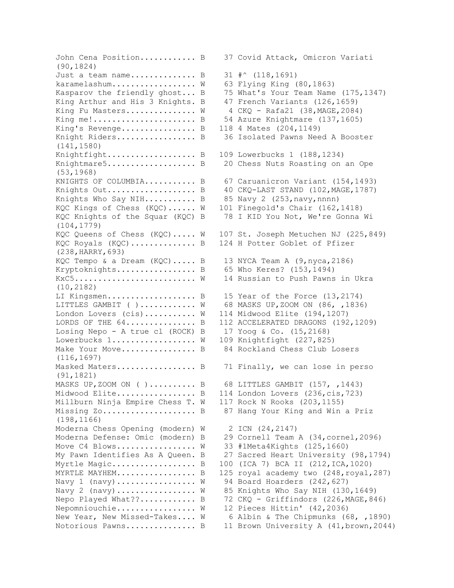John Cena Position............ B 37 Covid Attack, Omicron Variati (90,1824) Just a team name............... B  $31 \#^{\wedge}$  (118,1691) karamelashum................. W 63 Flying King (80,1863) Kasparov the friendly ghost... B 75 What's Your Team Name (175,1347) King Arthur and His 3 Knights. B 47 French Variants (126,1659) King Fu Masters.............. W 4 CKQ - Rafa21 (38, MAGE, 2084) King me!...................... B 54 Azure Knightmare (137,1605) King's Revenge................ B 118 4 Mates (204,1149) Knight Riders.................. B 36 Isolated Pawns Need A Booster (141,1580) Knightfight.................... B 109 Lowerbucks 1 (188,1234) Knightmare5.................... B 20 Chess Nuts Roasting on an Ope (53,1968) KNIGHTS OF COLUMBIA.......... B 67 Caruanicron Variant (154,1493) Knights Out..................... B 40 CKQ-LAST STAND (102, MAGE, 1787) Knights Who Say NIH........... B 85 Navy 2 (253, navy, nnnn) KQC Kings of Chess (KQC)...... W 101 Finegold's Chair (162,1418) KQC Knights of the Squar (KQC) B 78 I KID You Not, We're Gonna Wi (104,1779) KQC Queens of Chess (KQC)..... W 107 St. Joseph Metuchen NJ (225,849) KQC Royals (KQC)............... B 124 H Potter Goblet of Pfizer (238,HARRY,693) KQC Tempo & a Dream (KQC)..... B 13 NYCA Team A (9,nyca,2186) Kryptoknights................. B 65 Who Keres? (153,1494) KxC5.......................... W 14 Russian to Push Pawns in Ukra (10,2182) LI Kingsmen.................... B 15 Year of the Force (13,2174) LITTLES GAMBIT ( )........... W 68 MASKS UP, ZOOM ON (86, ,1836) London Lovers (cis)........... W 114 Midwood Elite (194,1207) LORDS OF THE  $64$ ............... B 112 ACCELERATED DRAGONS (192,1209) Losing Nepo - A true cl (ROCK) B  $17$  Yoog & Co. (15,2168) Lowerbucks 1................. W 109 Knightfight (227,825) Make Your Move................. B 84 Rockland Chess Club Losers (116,1697) Masked Maters................... B 71 Finally, we can lose in perso (91,1821) MASKS UP, ZOOM ON ( ).......... B 68 LITTLES GAMBIT (157, , 1443) Midwood Elite................. B 114 London Lovers (236,cis,723) Millburn Ninja Empire Chess T. W 117 Rock N Rooks (203,1155) Missing Zo...................... B 87 Hang Your King and Win a Priz (198,1166) Moderna Chess Opening (modern) W 2 ICN (24,2147) Moderna Defense: Omic (modern) B 29 Cornell Team A (34,cornel,2096) Move C4 Blows.................  $W = 33$  #1Meta4Kights (125,1660) My Pawn Identifies As A Queen. B 27 Sacred Heart University (98,1794) Myrtle Magic.................... B 100 (ICA 7) BCA II (212, ICA, 1020) MYRTLE MAYHEM.................... B 125 royal academy two  $(248, r \text{oyal}, 287)$ Navy 1 (navy)................ W 94 Board Hoarders (242,627) Navy 2 (navy)............... W 85 Knights Who Say NIH (130,1649) Nepo Played What??............ B 72 CKQ - Griffindors (226, MAGE, 846) Nepomniouchie................ W 12 Pieces Hittin' (42,2036) New Year, New Missed-Takes.... W 6 Albin & The Chipmunks (68, ,1890) Notorious Pawns............... B 11 Brown University A (41, brown, 2044)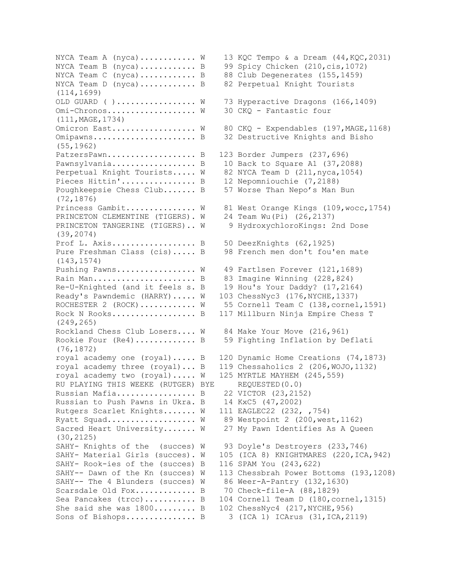NYCA Team A (nyca)........... W 13 KQC Tempo & a Dream  $(44, KQC, 2031)$ NYCA Team B (nyca)........... B 99 Spicy Chicken (210, cis, 1072) NYCA Team C (nyca).............. B 88 Club Degenerates  $(155, 1459)$ NYCA Team D (nyca)............ B 82 Perpetual Knight Tourists (114,1699) OLD GUARD ( )................. W 73 Hyperactive Dragons (166,1409) Omi-Chronos.................. W 30 CKQ - Fantastic four (111,MAGE,1734) Omicron East................. W 80 CKQ - Expendables (197, MAGE, 1168) Omipawns...................... B 32 Destructive Knights and Bisho (55,1962) PatzersPawn..................... B 123 Border Jumpers (237,696) Pawnsylvania..................... B 10 Back to Square A1 (37,2088) Perpetual Knight Tourists..... W 82 NYCA Team D (211, nyca, 1054) Pieces Hittin'................. B 12 Nepomniouchie (7,2188) Poughkeepsie Chess Club....... B 57 Worse Than Nepo's Man Bun (72,1876) Princess Gambit.............. W 81 West Orange Kings (109, wocc, 1754) PRINCETON CLEMENTINE (TIGERS). W 24 Team Wu(Pi) (26,2137) PRINCETON TANGERINE (TIGERS).. W 9 HydroxychloroKings: 2nd Dose (39,2074) Prof L. Axis.................. B 50 DeezKnights (62,1925) Pure Freshman Class (cis)..... B 98 French men don't fou'en mate (143,1574) Pushing Pawns................. W 49 Fartlsen Forever (121,1689) Rain Man....................... B 83 Imagine Winning (228,824) Re-U-Knighted (and it feels s. B 19 Hou's Your Daddy? (17,2164) Ready's Pawndemic (HARRY)..... W 103 ChessNyc3 (176, NYCHE, 1337) ROCHESTER 2 (ROCK)........... W 55 Cornell Team C (138, cornel, 1591) Rock N Rooks.................. B 117 Millburn Ninja Empire Chess T (249,265) Rockland Chess Club Losers.... W 84 Make Your Move (216,961) Rookie Four (Re4).............. B 59 Fighting Inflation by Deflati (76,1872) royal academy one (royal)..... B 120 Dynamic Home Creations (74,1873) royal academy three (royal)... B 119 Chessaholics 2 (206,WOJO,1132) royal academy two (royal)..... W 125 MYRTLE MAYHEM (245,559) RU PLAYING THIS WEEKE (RUTGER) BYE REQUESTED(0.0) Russian Mafia................. B 22 VICTOR (23,2152) Russian to Push Pawns in Ukra. B 14 KxC5 (47,2002) Rutgers Scarlet Knights....... W 111 EAGLEC22 (232, ,754) Ryatt Squad................... W 89 Westpoint 2 (200, west, 1162) Sacred Heart University....... W 27 My Pawn Identifies As A Queen (30,2125) SAHY- Knights of the (succes) W 93 Doyle's Destroyers (233,746) SAHY- Material Girls (succes). W 105 (ICA 8) KNIGHTMARES (220, ICA, 942) SAHY- Rook-ies of the (succes) B 116 SPAM You (243,622) SAHY-- Dawn of the Kn (succes) W 113 Chessbrah Power Bottoms (193,1208) SAHY-- The 4 Blunders (succes) W 86 Weer-A-Pantry (132,1630) Scarsdale Old Fox............. B 70 Check-file-A (88,1829) Sea Pancakes (trcc)............ B 104 Cornell Team D (180, cornel, 1315) She said she was  $1800......$ ..... B 102 ChessNyc4 (217, NYCHE, 956) Sons of Bishops............... B 3 (ICA 1) ICArus (31,ICA,2119)